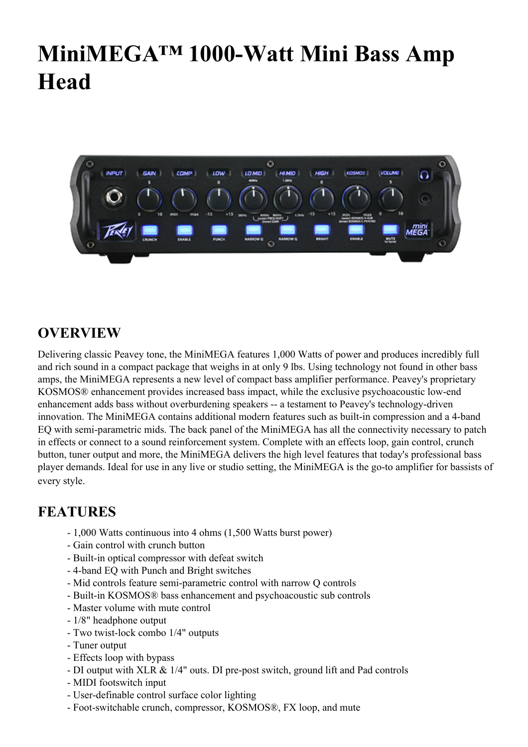## **MiniMEGA™ 1000-Watt Mini Bass Amp Head**



## **OVERVIEW**

Delivering classic Peavey tone, the MiniMEGA features 1,000 Watts of power and produces incredibly full and rich sound in a compact package that weighs in at only 9 lbs. Using technology not found in other bass amps, the MiniMEGA represents a new level of compact bass amplifier performance. Peavey's proprietary KOSMOS® enhancement provides increased bass impact, while the exclusive psychoacoustic low-end enhancement adds bass without overburdening speakers -- a testament to Peavey's technology-driven innovation. The MiniMEGA contains additional modern features such as built-in compression and a 4-band EQ with semi-parametric mids. The back panel of the MiniMEGA has all the connectivity necessary to patch in effects or connect to a sound reinforcement system. Complete with an effects loop, gain control, crunch button, tuner output and more, the MiniMEGA delivers the high level features that today's professional bass player demands. Ideal for use in any live or studio setting, the MiniMEGA is the go-to amplifier for bassists of every style.

## **FEATURES**

- 1,000 Watts continuous into 4 ohms (1,500 Watts burst power)
- Gain control with crunch button
- Built-in optical compressor with defeat switch
- 4-band EQ with Punch and Bright switches
- Mid controls feature semi-parametric control with narrow Q controls
- Built-in KOSMOS® bass enhancement and psychoacoustic sub controls
- Master volume with mute control
- 1/8" headphone output
- Two twist-lock combo 1/4" outputs
- Tuner output
- Effects loop with bypass
- DI output with XLR & 1/4" outs. DI pre-post switch, ground lift and Pad controls
- MIDI footswitch input
- User-definable control surface color lighting
- Foot-switchable crunch, compressor, KOSMOS®, FX loop, and mute